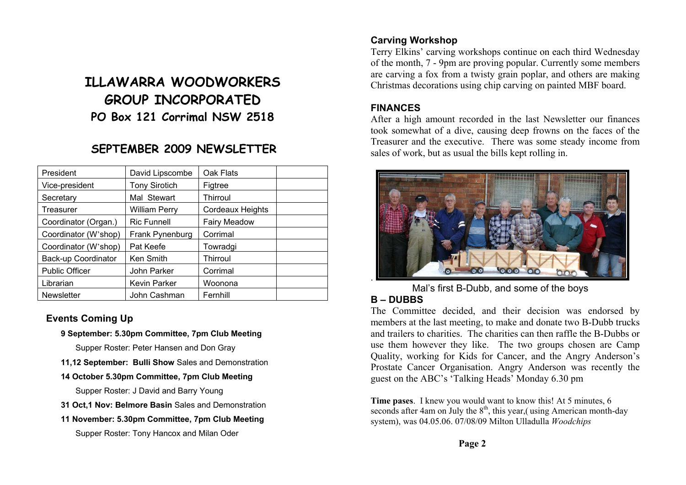# **ILLAWARRA WOODWORKERS GROUP INCORPORATED PO Box 121 Corrimal NSW 2518**

## **SEPTEMBER 2009 NEWSLETTER**

| President             | David Lipscombe      | Oak Flats               |  |
|-----------------------|----------------------|-------------------------|--|
| Vice-president        | <b>Tony Sirotich</b> | Figtree                 |  |
| Secretary             | Mal Stewart          | Thirroul                |  |
| Treasurer             | <b>William Perry</b> | <b>Cordeaux Heights</b> |  |
| Coordinator (Organ.)  | <b>Ric Funnell</b>   | Fairy Meadow            |  |
| Coordinator (W'shop)  | Frank Pynenburg      | Corrimal                |  |
| Coordinator (W'shop)  | Pat Keefe            | Towradgi                |  |
| Back-up Coordinator   | Ken Smith            | Thirroul                |  |
| <b>Public Officer</b> | John Parker          | Corrimal                |  |
| Librarian             | <b>Kevin Parker</b>  | Woonona                 |  |
| <b>Newsletter</b>     | John Cashman         | Fernhill                |  |

#### **Events Coming Up**

**9 September: 5.30pm Committee, 7pm Club Meeting** 

Supper Roster: Peter Hansen and Don Gray

- **11,12 September: Bulli Show** Sales and Demonstration
- **14 October 5.30pm Committee, 7pm Club Meeting**

Supper Roster: J David and Barry Young

- **31 Oct,1 Nov: Belmore Basin** Sales and Demonstration
- **11 November: 5.30pm Committee, 7pm Club Meeting**

Supper Roster: Tony Hancox and Milan Oder

## **Carving Workshop**

Terry Elkins' carving workshops continue on each third Wednesday of the month, 7 - 9pm are proving popular. Currently some members are carving a fox from a twisty grain poplar, and others are making Christmas decorations using chip carving on painted MBF board.

#### **FINANCES**

After a high amount recorded in the last Newsletter our finances took somewhat of a dive, causing deep frowns on the faces of the Treasurer and the executive. There was some steady income from sales of work, but as usual the bills kept rolling in.



Mal's first B-Dubb, and some of the boys

#### **B – DUBBS**

The Committee decided, and their decision was endorsed by members at the last meeting, to make and donate two B-Dubb trucks and trailers to charities. The charities can then raffle the B-Dubbs or use them however they like. The two groups chosen are Camp Quality, working for Kids for Cancer, and the Angry Anderson's Prostate Cancer Organisation. Angry Anderson was recently the guest on the ABC's 'Talking Heads' Monday 6.30 pm

**Time pases**. I knew you would want to know this! At 5 minutes, 6 seconds after 4am on July the  $8<sup>th</sup>$ , this year,( using American month-day system), was 04.05.06. 07/08/09 Milton Ulladulla *Woodchips*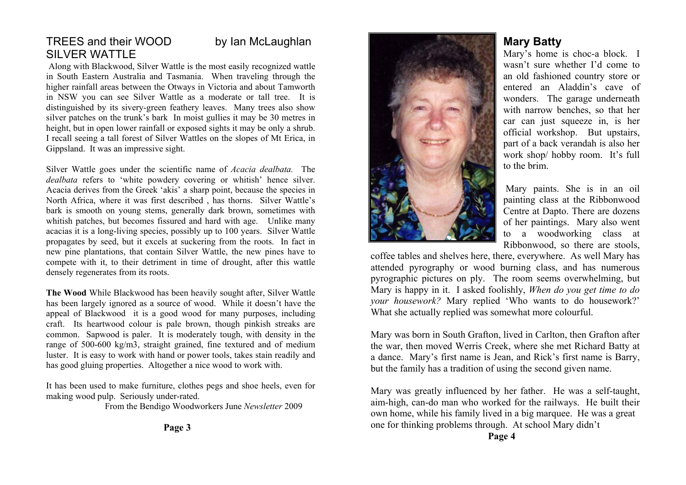## TREES and their WOOD by Ian McLaughlan SILVER WATTLE

Along with Blackwood, Silver Wattle is the most easily recognized wattle in South Eastern Australia and Tasmania. When traveling through the higher rainfall areas between the Otways in Victoria and about Tamworth in NSW you can see Silver Wattle as a moderate or tall tree. It is distinguished by its sivery-green feathery leaves. Many trees also show silver patches on the trunk's bark In moist gullies it may be 30 metres in height, but in open lower rainfall or exposed sights it may be only a shrub. I recall seeing a tall forest of Silver Wattles on the slopes of Mt Erica, in Gippsland. It was an impressive sight.

Silver Wattle goes under the scientific name of *Acacia dealbata.* The *dealbata* refers to 'white powdery covering or whitish' hence silver. Acacia derives from the Greek 'akis' a sharp point, because the species in North Africa, where it was first described , has thorns. Silver Wattle's bark is smooth on young stems, generally dark brown, sometimes with whitish patches, but becomes fissured and hard with age. Unlike many acacias it is a long-living species, possibly up to 100 years. Silver Wattle propagates by seed, but it excels at suckering from the roots. In fact in new pine plantations, that contain Silver Wattle, the new pines have to compete with it, to their detriment in time of drought, after this wattle densely regenerates from its roots.

**The Wood** While Blackwood has been heavily sought after, Silver Wattle has been largely ignored as a source of wood. While it doesn't have the appeal of Blackwood it is a good wood for many purposes, including craft. Its heartwood colour is pale brown, though pinkish streaks are common. Sapwood is paler. It is moderately tough, with density in the range of 500-600 kg/m3, straight grained, fine textured and of medium luster. It is easy to work with hand or power tools, takes stain readily and has good gluing properties. Altogether a nice wood to work with.

It has been used to make furniture, clothes pegs and shoe heels, even for making wood pulp. Seriously under-rated.

From the Bendigo Woodworkers June *Newsletter* 2009



## **Mary Batty**

Mary's home is choc-a block. I wasn't sure whether I'd come to an old fashioned country store or entered an Aladdin's cave of wonders. The garage underneath with narrow benches, so that her car can just squeeze in, is her official workshop. But upstairs, part of a back verandah is also her work shop/ hobby room. It's full to the brim.

 Mary paints. She is in an oil painting class at the Ribbonwood Centre at Dapto. There are dozens of her paintings. Mary also went to a woodworking class at Ribbonwood, so there are stools,

coffee tables and shelves here, there, everywhere. As well Mary has attended pyrography or wood burning class, and has numerous pyrographic pictures on ply. The room seems overwhelming, but Mary is happy in it. I asked foolishly, *When do you get time to do your housework?* Mary replied 'Who wants to do housework?' What she actually replied was somewhat more colourful.

Mary was born in South Grafton, lived in Carlton, then Grafton after the war, then moved Werris Creek, where she met Richard Batty at a dance. Mary's first name is Jean, and Rick's first name is Barry, but the family has a tradition of using the second given name.

Mary was greatly influenced by her father. He was a self-taught, aim-high, can-do man who worked for the railways. He built their own home, while his family lived in a big marquee. He was a great one for thinking problems through. At school Mary didn't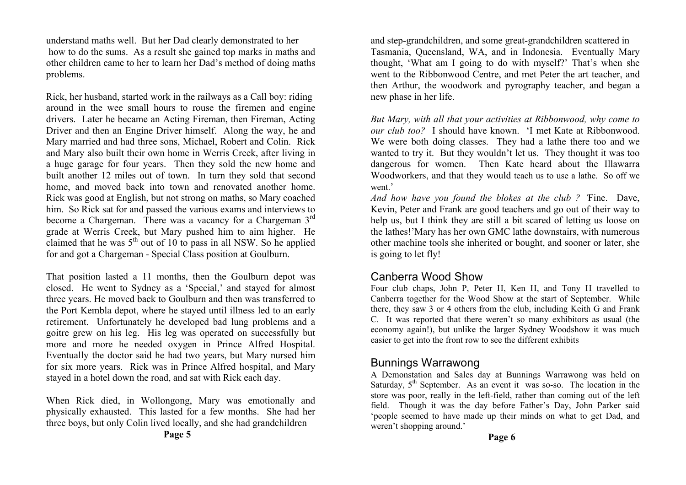understand maths well. But her Dad clearly demonstrated to her how to do the sums. As a result she gained top marks in maths and other children came to her to learn her Dad's method of doing maths problems.

Rick, her husband, started work in the railways as a Call boy: riding around in the wee small hours to rouse the firemen and engine drivers. Later he became an Acting Fireman, then Fireman, Acting Driver and then an Engine Driver himself. Along the way, he and Mary married and had three sons, Michael, Robert and Colin. Rick and Mary also built their own home in Werris Creek, after living in a huge garage for four years. Then they sold the new home and built another 12 miles out of town. In turn they sold that second home, and moved back into town and renovated another home. Rick was good at English, but not strong on maths, so Mary coached him. So Rick sat for and passed the various exams and interviews to become a Chargeman. There was a vacancy for a Chargeman 3<sup>rd</sup> grade at Werris Creek, but Mary pushed him to aim higher. He claimed that he was  $5<sup>th</sup>$  out of 10 to pass in all NSW. So he applied for and got a Chargeman - Special Class position at Goulburn.

That position lasted a 11 months, then the Goulburn depot was closed. He went to Sydney as a 'Special,' and stayed for almost three years. He moved back to Goulburn and then was transferred to the Port Kembla depot, where he stayed until illness led to an early retirement. Unfortunately he developed bad lung problems and a goitre grew on his leg. His leg was operated on successfully but more and more he needed oxygen in Prince Alfred Hospital. Eventually the doctor said he had two years, but Mary nursed him for six more years. Rick was in Prince Alfred hospital, and Mary stayed in a hotel down the road, and sat with Rick each day.

When Rick died, in Wollongong, Mary was emotionally and physically exhausted. This lasted for a few months. She had her three boys, but only Colin lived locally, and she had grandchildren

and step-grandchildren, and some great-grandchildren scattered in Tasmania, Queensland, WA, and in Indonesia. Eventually Mary thought, 'What am I going to do with myself?' That's when she went to the Ribbonwood Centre, and met Peter the art teacher, and then Arthur, the woodwork and pyrography teacher, and began a new phase in her life.

*But Mary, with all that your activities at Ribbonwood, why come to our club too?* I should have known. 'I met Kate at Ribbonwood. We were both doing classes. They had a lathe there too and we wanted to try it. But they wouldn't let us. They thought it was too dangerous for women. Then Kate heard about the Illawarra Woodworkers, and that they would teach us to use a lathe. So off we went<sup>,</sup>

*And how have you found the blokes at the club ? '*Fine. Dave, Kevin, Peter and Frank are good teachers and go out of their way to help us, but I think they are still a bit scared of letting us loose on the lathes!'Mary has her own GMC lathe downstairs, with numerous other machine tools she inherited or bought, and sooner or later, she is going to let fly!

## Canberra Wood Show

Four club chaps, John P, Peter H, Ken H, and Tony H travelled to Canberra together for the Wood Show at the start of September. While there, they saw 3 or 4 others from the club, including Keith G and Frank C. It was reported that there weren't so many exhibitors as usual (the economy again!), but unlike the larger Sydney Woodshow it was much easier to get into the front row to see the different exhibits

## Bunnings Warrawong

A Demonstation and Sales day at Bunnings Warrawong was held on Saturday,  $5<sup>th</sup>$  September. As an event it was so-so. The location in the store was poor, really in the left-field, rather than coming out of the left field. Though it was the day before Father's Day, John Parker said 'people seemed to have made up their minds on what to get Dad, and weren't shopping around.'